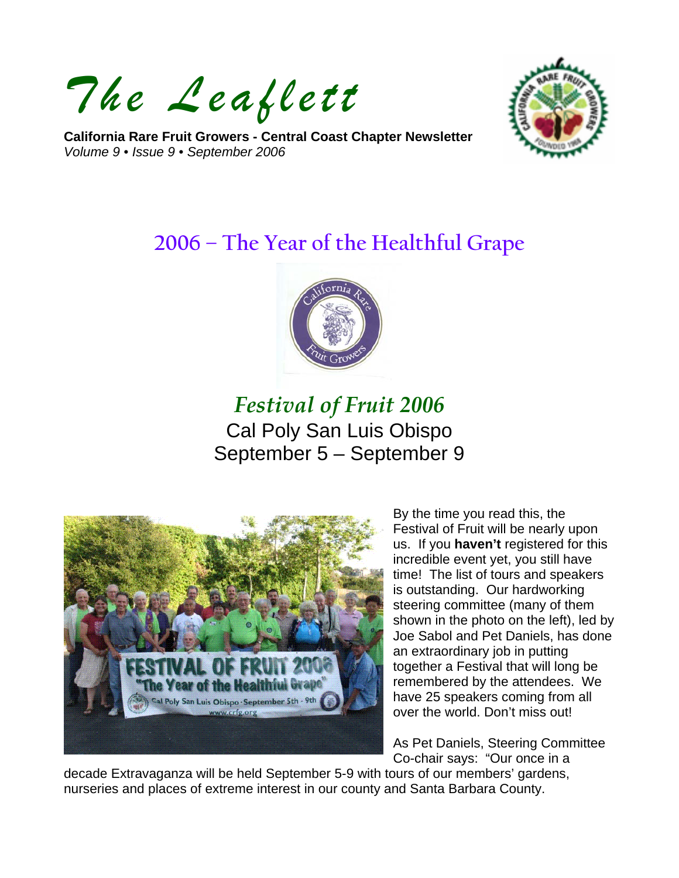*The Leaflett*

**California Rare Fruit Growers - Central Coast Chapter Newsletter**  *Volume 9 • Issue 9 • September 2006* 



# **2006 – The Year of the Healthful Grape**



# *Festival of Fruit 2006* Cal Poly San Luis Obispo September 5 – September 9



By the time you read this, the Festival of Fruit will be nearly upon us. If you **haven't** registered for this incredible event yet, you still have time! The list of tours and speakers is outstanding. Our hardworking steering committee (many of them shown in the photo on the left), led by Joe Sabol and Pet Daniels, has done an extraordinary job in putting together a Festival that will long be remembered by the attendees. We have 25 speakers coming from all over the world. Don't miss out!

As Pet Daniels, Steering Committee Co-chair says: "Our once in a

decade Extravaganza will be held September 5-9 with tours of our members' gardens, nurseries and places of extreme interest in our county and Santa Barbara County.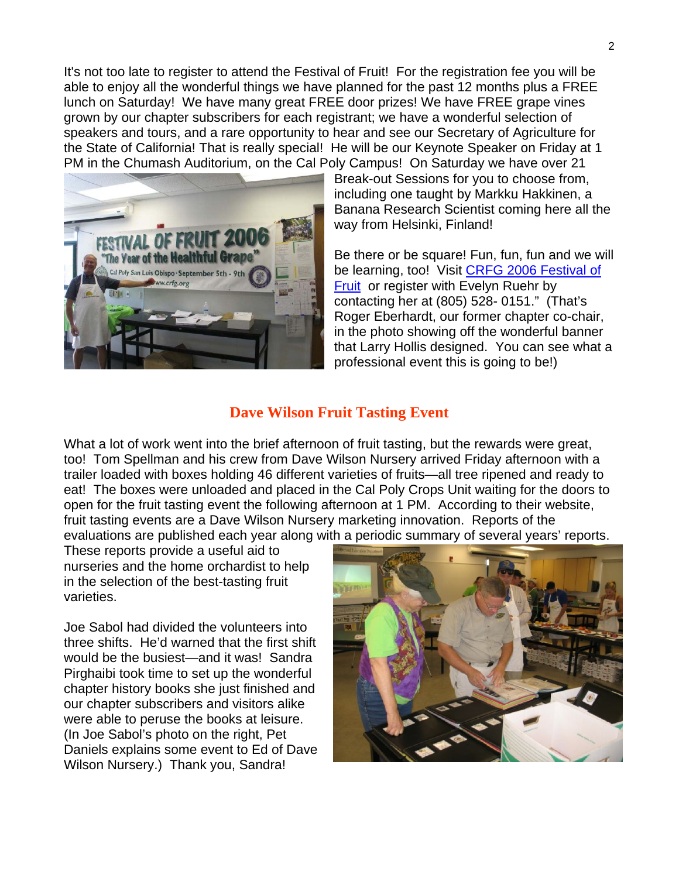It's not too late to register to attend the Festival of Fruit! For the registration fee you will be able to enjoy all the wonderful things we have planned for the past 12 months plus a FREE lunch on Saturday! We have many great FREE door prizes! We have FREE grape vines grown by our chapter subscribers for each registrant; we have a wonderful selection of speakers and tours, and a rare opportunity to hear and see our Secretary of Agriculture for the State of California! That is really special! He will be our Keynote Speaker on Friday at 1 PM in the Chumash Auditorium, on the Cal Poly Campus! On Saturday we have over 21



Break-out Sessions for you to choose from, including one taught by Markku Hakkinen, a Banana Research Scientist coming here all the way from Helsinki, Finland!

Be there or be square! Fun, fun, fun and we will be learning, too! Visit [CRFG 2006 Festival of](http://www.crfg-central.org/2006_Festival/festival_2006_home.htm)  [Fruit](http://www.crfg-central.org/2006_Festival/festival_2006_home.htm) or register with Evelyn Ruehr by contacting her at (805) 528- 0151." (That's Roger Eberhardt, our former chapter co-chair, in the photo showing off the wonderful banner that Larry Hollis designed. You can see what a professional event this is going to be!)

### **Dave Wilson Fruit Tasting Event**

What a lot of work went into the brief afternoon of fruit tasting, but the rewards were great, too! Tom Spellman and his crew from Dave Wilson Nursery arrived Friday afternoon with a trailer loaded with boxes holding 46 different varieties of fruits—all tree ripened and ready to eat! The boxes were unloaded and placed in the Cal Poly Crops Unit waiting for the doors to open for the fruit tasting event the following afternoon at 1 PM. According to their website, fruit tasting events are a Dave Wilson Nursery marketing innovation. Reports of the evaluations are published each year along with a periodic summary of several years' reports.

These reports provide a useful aid to nurseries and the home orchardist to help in the selection of the best-tasting fruit varieties.

Joe Sabol had divided the volunteers into three shifts. He'd warned that the first shift would be the busiest—and it was! Sandra Pirghaibi took time to set up the wonderful chapter history books she just finished and our chapter subscribers and visitors alike were able to peruse the books at leisure. (In Joe Sabol's photo on the right, Pet Daniels explains some event to Ed of Dave Wilson Nursery.) Thank you, Sandra!

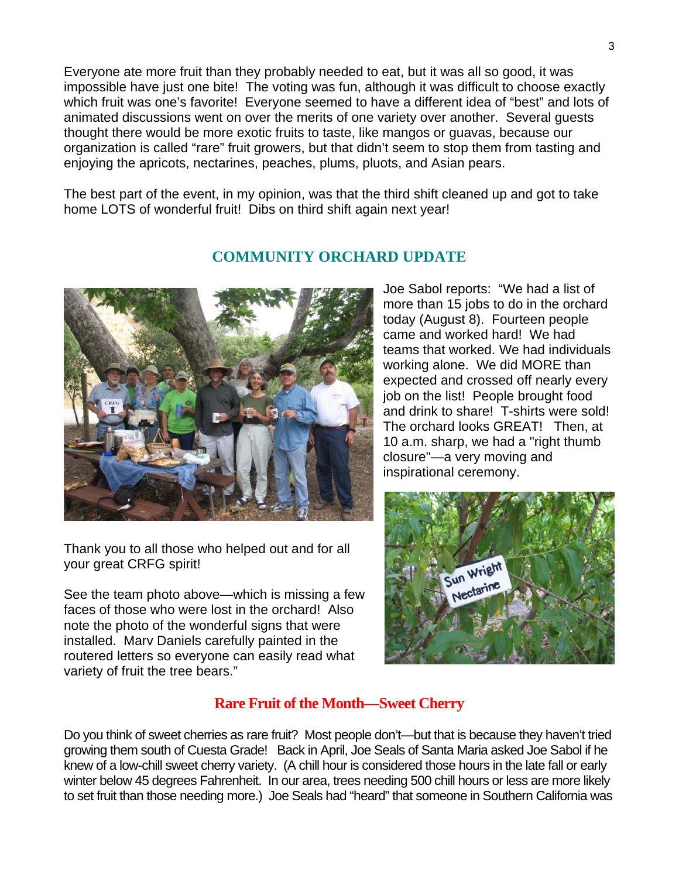Everyone ate more fruit than they probably needed to eat, but it was all so good, it was impossible have just one bite! The voting was fun, although it was difficult to choose exactly which fruit was one's favorite! Everyone seemed to have a different idea of "best" and lots of animated discussions went on over the merits of one variety over another. Several guests thought there would be more exotic fruits to taste, like mangos or guavas, because our organization is called "rare" fruit growers, but that didn't seem to stop them from tasting and enjoying the apricots, nectarines, peaches, plums, pluots, and Asian pears.

The best part of the event, in my opinion, was that the third shift cleaned up and got to take home LOTS of wonderful fruit! Dibs on third shift again next year!



Thank you to all those who helped out and for all your great CRFG spirit!

See the team photo above—which is missing a few faces of those who were lost in the orchard! Also note the photo of the wonderful signs that were installed. Marv Daniels carefully painted in the routered letters so everyone can easily read what variety of fruit the tree bears."

## **COMMUNITY ORCHARD UPDATE**

Joe Sabol reports: "We had a list of more than 15 jobs to do in the orchard today (August 8). Fourteen people came and worked hard! We had teams that worked. We had individuals working alone. We did MORE than expected and crossed off nearly every job on the list! People brought food and drink to share! T-shirts were sold! The orchard looks GREAT! Then, at 10 a.m. sharp, we had a "right thumb closure"—a very moving and inspirational ceremony.



## **Rare Fruit of the Month—Sweet Cherry**

Do you think of sweet cherries as rare fruit? Most people don't—but that is because they haven't tried growing them south of Cuesta Grade! Back in April, Joe Seals of Santa Maria asked Joe Sabol if he knew of a low-chill sweet cherry variety. (A chill hour is considered those hours in the late fall or early winter below 45 degrees Fahrenheit. In our area, trees needing 500 chill hours or less are more likely to set fruit than those needing more.) Joe Seals had "heard" that someone in Southern California was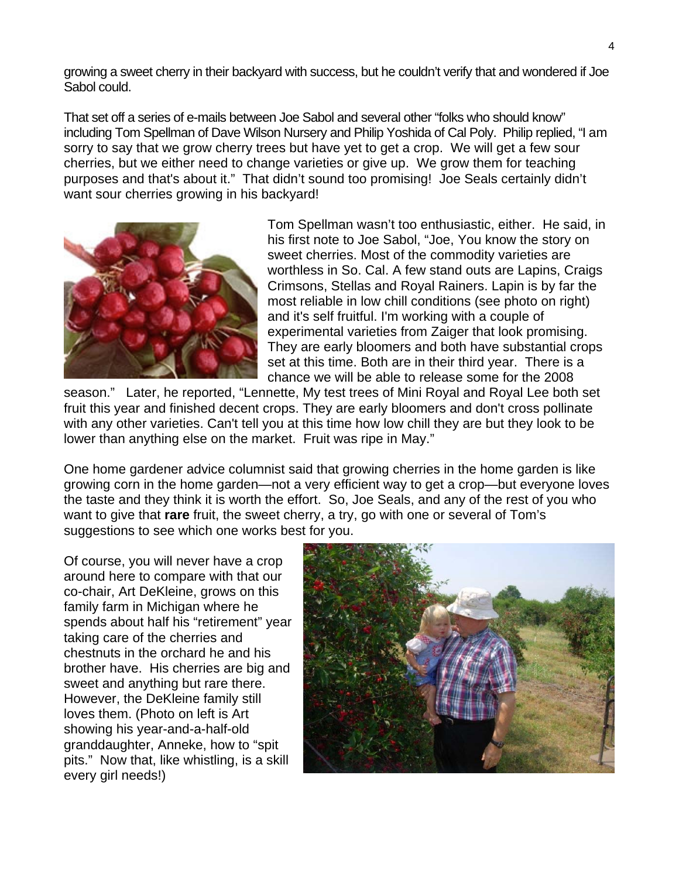growing a sweet cherry in their backyard with success, but he couldn't verify that and wondered if Joe Sabol could.

That set off a series of e-mails between Joe Sabol and several other "folks who should know" including Tom Spellman of Dave Wilson Nursery and Philip Yoshida of Cal Poly. Philip replied, "I am sorry to say that we grow cherry trees but have yet to get a crop. We will get a few sour cherries, but we either need to change varieties or give up. We grow them for teaching purposes and that's about it." That didn't sound too promising! Joe Seals certainly didn't want sour cherries growing in his backyard!



Tom Spellman wasn't too enthusiastic, either. He said, in his first note to Joe Sabol, "Joe, You know the story on sweet cherries. Most of the commodity varieties are worthless in So. Cal. A few stand outs are Lapins, Craigs Crimsons, Stellas and Royal Rainers. Lapin is by far the most reliable in low chill conditions (see photo on right) and it's self fruitful. I'm working with a couple of experimental varieties from Zaiger that look promising. They are early bloomers and both have substantial crops set at this time. Both are in their third year. There is a chance we will be able to release some for the 2008

season." Later, he reported, "Lennette, My test trees of Mini Royal and Royal Lee both set fruit this year and finished decent crops. They are early bloomers and don't cross pollinate with any other varieties. Can't tell you at this time how low chill they are but they look to be lower than anything else on the market. Fruit was ripe in May."

One home gardener advice columnist said that growing cherries in the home garden is like growing corn in the home garden—not a very efficient way to get a crop—but everyone loves the taste and they think it is worth the effort. So, Joe Seals, and any of the rest of you who want to give that **rare** fruit, the sweet cherry, a try, go with one or several of Tom's suggestions to see which one works best for you.

Of course, you will never have a crop around here to compare with that our co-chair, Art DeKleine, grows on this family farm in Michigan where he spends about half his "retirement" year taking care of the cherries and chestnuts in the orchard he and his brother have. His cherries are big and sweet and anything but rare there. However, the DeKleine family still loves them. (Photo on left is Art showing his year-and-a-half-old granddaughter, Anneke, how to "spit pits." Now that, like whistling, is a skill every girl needs!)

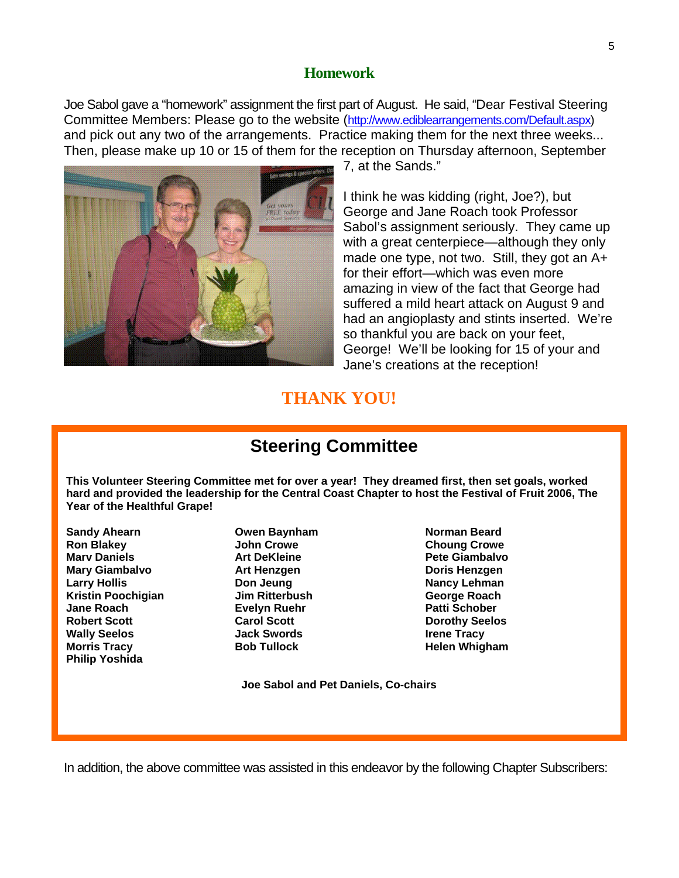#### **Homework**

Joe Sabol gave a "homework" assignment the first part of August. He said, "Dear Festival Steering Committee Members: Please go to the website ([http://www.ediblearrangements.com/Default.aspx\)](http://www.ediblearrangements.com/Default.aspx) and pick out any two of the arrangements. Practice making them for the next three weeks... Then, please make up 10 or 15 of them for the reception on Thursday afternoon, September



7, at the Sands."

I think he was kidding (right, Joe?), but George and Jane Roach took Professor Sabol's assignment seriously. They came up with a great centerpiece—although they only made one type, not two. Still, they got an A+ for their effort—which was even more amazing in view of the fact that George had suffered a mild heart attack on August 9 and had an angioplasty and stints inserted. We're so thankful you are back on your feet, George! We'll be looking for 15 of your and Jane's creations at the reception!

# **THANK YOU!**

# **Steering Committee**

**This Volunteer Steering Committee met for over a year! They dreamed first, then set goals, worked hard and provided the leadership for the Central Coast Chapter to host the Festival of Fruit 2006, The Year of the Healthful Grape!** 

**Sandy Ahearn Communisty Communisty Communisty Communisty Communisty Communisty Communisty Communisty Communisty Ron Blakey Choung Crowe Choung Crowe Choung Crowe Marv Daniels Community Community Art DeKleine Community Pete Giambalvo Mary Giambalvo Art Henzgen Doris Henzgen Larry Hollis Communist Congress Don Jeung Communist Congress Nancy Lehman Kristin Poochigian Jim Ritterbush George Roach Jane Roach Communist Evelyn Ruehr Communist Patti Schober Robert Scott Carol Scott Dorothy Seelos**  Wally Seelos **Mathem State State Swords Irene Tracy Irene Tracy Morris Tracy Communist Communist Communist Communist Communist Communist Communist Communist Communist Communist Communist Communist Communist Communist Communist Communist Communist Communist Communist Communist Communis Philip Yoshida** 

 **Joe Sabol and Pet Daniels, Co-chairs** 

In addition, the above committee was assisted in this endeavor by the following Chapter Subscribers: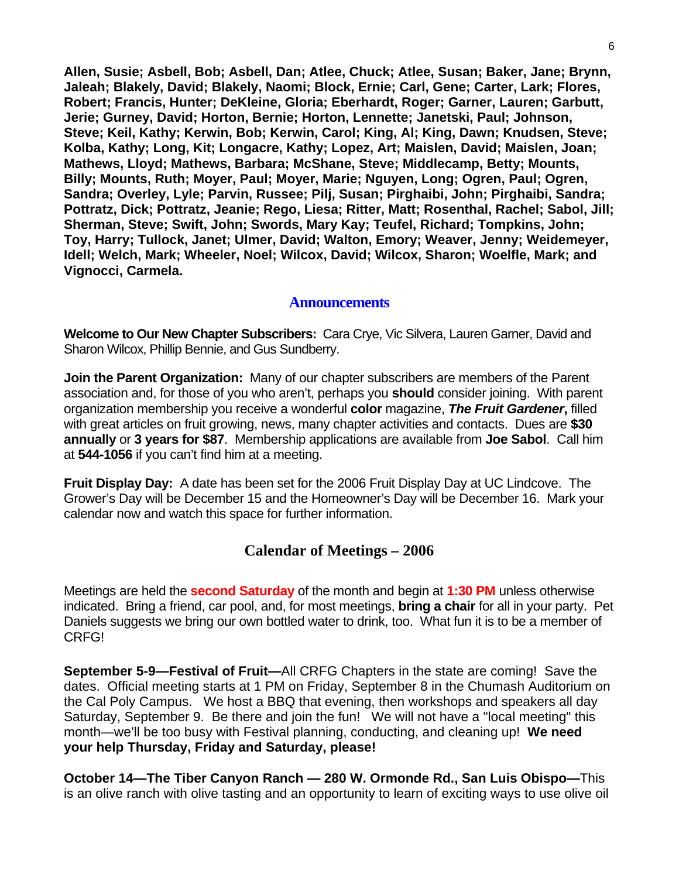**Allen, Susie; Asbell, Bob; Asbell, Dan; Atlee, Chuck; Atlee, Susan; Baker, Jane; Brynn, Jaleah; Blakely, David; Blakely, Naomi; Block, Ernie; Carl, Gene; Carter, Lark; Flores, Robert; Francis, Hunter; DeKleine, Gloria; Eberhardt, Roger; Garner, Lauren; Garbutt, Jerie; Gurney, David; Horton, Bernie; Horton, Lennette; Janetski, Paul; Johnson, Steve; Keil, Kathy; Kerwin, Bob; Kerwin, Carol; King, Al; King, Dawn; Knudsen, Steve; Kolba, Kathy; Long, Kit; Longacre, Kathy; Lopez, Art; Maislen, David; Maislen, Joan; Mathews, Lloyd; Mathews, Barbara; McShane, Steve; Middlecamp, Betty; Mounts, Billy; Mounts, Ruth; Moyer, Paul; Moyer, Marie; Nguyen, Long; Ogren, Paul; Ogren, Sandra; Overley, Lyle; Parvin, Russee; Pilj, Susan; Pirghaibi, John; Pirghaibi, Sandra; Pottratz, Dick; Pottratz, Jeanie; Rego, Liesa; Ritter, Matt; Rosenthal, Rachel; Sabol, Jill; Sherman, Steve; Swift, John; Swords, Mary Kay; Teufel, Richard; Tompkins, John; Toy, Harry; Tullock, Janet; Ulmer, David; Walton, Emory; Weaver, Jenny; Weidemeyer, Idell; Welch, Mark; Wheeler, Noel; Wilcox, David; Wilcox, Sharon; Woelfle, Mark; and Vignocci, Carmela.**

#### **Announcements**

**Welcome to Our New Chapter Subscribers:** Cara Crye, Vic Silvera, Lauren Garner, David and Sharon Wilcox, Phillip Bennie, and Gus Sundberry.

**Join the Parent Organization:** Many of our chapter subscribers are members of the Parent association and, for those of you who aren't, perhaps you **should** consider joining. With parent organization membership you receive a wonderful **color** magazine, *The Fruit Gardener***,** filled with great articles on fruit growing, news, many chapter activities and contacts. Dues are **\$30 annually** or **3 years for \$87**. Membership applications are available from **Joe Sabol**. Call him at **544-1056** if you can't find him at a meeting.

**Fruit Display Day:** A date has been set for the 2006 Fruit Display Day at UC Lindcove. The Grower's Day will be December 15 and the Homeowner's Day will be December 16. Mark your calendar now and watch this space for further information.

### **Calendar of Meetings – 2006**

Meetings are held the **second Saturday** of the month and begin at **1:30 PM** unless otherwise indicated. Bring a friend, car pool, and, for most meetings, **bring a chair** for all in your party. Pet Daniels suggests we bring our own bottled water to drink, too. What fun it is to be a member of CRFG!

**September 5-9—Festival of Fruit—**All CRFG Chapters in the state are coming! Save the dates. Official meeting starts at 1 PM on Friday, September 8 in the Chumash Auditorium on the Cal Poly Campus. We host a BBQ that evening, then workshops and speakers all day Saturday, September 9. Be there and join the fun! We will not have a "local meeting" this month—we'll be too busy with Festival planning, conducting, and cleaning up! **We need your help Thursday, Friday and Saturday, please!** 

**October 14—The Tiber Canyon Ranch — 280 W. Ormonde Rd., San Luis Obispo—**This is an olive ranch with olive tasting and an opportunity to learn of exciting ways to use olive oil